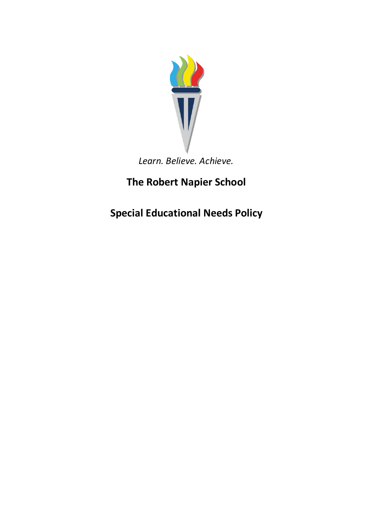

*Learn. Believe. Achieve.*

**The Robert Napier School**

**Special Educational Needs Policy**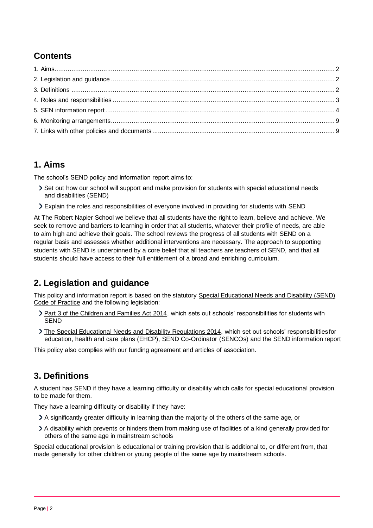# <span id="page-1-3"></span>**Contents**

# <span id="page-1-0"></span>**1. Aims**

The school's SEND policy and information report aims to:

- Set out how our school will support and make provision for students with special educational needs and disabilities (SEND)
- Explain the roles and responsibilities of everyone involved in providing for students with SEND

At The Robert Napier School we believe that all students have the right to learn, believe and achieve. We seek to remove and barriers to learning in order that all students, whatever their profile of needs, are able to aim high and achieve their goals. The school reviews the progress of all students with SEND on a regular basis and assesses whether additional interventions are necessary. The approach to supporting students with SEND is underpinned by a core belief that all teachers are teachers of SEND, and that all students should have access to their full entitlement of a broad and enriching curriculum.

# <span id="page-1-1"></span>**2. Legislation and guidance**

This policy and information report is based on the statutory [Special Educational Needs and Disability \(SEND\)](https://www.gov.uk/government/uploads/system/uploads/attachment_data/file/398815/SEND_Code_of_Practice_January_2015.pdf) [Code of Practice](https://www.gov.uk/government/uploads/system/uploads/attachment_data/file/398815/SEND_Code_of_Practice_January_2015.pdf) and the following legislation:

- [Part 3 of the Children and Families Act 2014, w](http://www.legislation.gov.uk/ukpga/2014/6/part/3)hich sets out schools' responsibilities for students with SEND
- [The Special Educational Needs and Disability Regulations 2014, w](http://www.legislation.gov.uk/uksi/2014/1530/contents/made)hich set out schools' responsibilities for education, health and care plans (EHCP), SEND Co-Ordinator (SENCOs) and the SEND information report

This policy also complies with our funding agreement and articles of association.

# <span id="page-1-2"></span>**3. Definitions**

A student has SEND if they have a learning difficulty or disability which calls for special educational provision to be made for them.

They have a learning difficulty or disability if they have:

- A significantly greater difficulty in learning than the majority of the others of the same age, or
- A disability which prevents or hinders them from making use of facilities of a kind generally provided for others of the same age in mainstream schools

Special educational provision is educational or training provision that is additional to, or different from, that made generally for other children or young people of the same age by mainstream schools.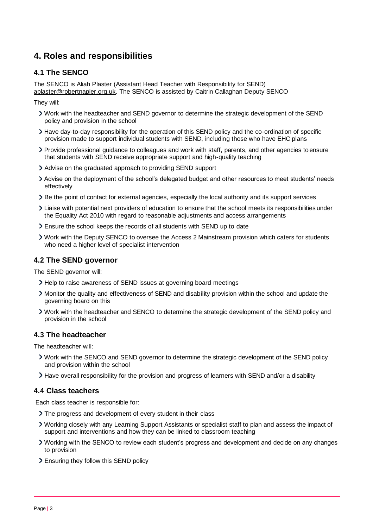# **4. Roles and responsibilities**

## **4.1 The SENCO**

The SENCO is Aliah Plaster (Assistant Head Teacher with Responsibility for SEND) [aplaster@robertnapier.org.uk. T](mailto:aplaster@robertnapier.org.uk)he SENCO is assisted by Caitrin Callaghan Deputy SENCO

They will:

- Work with the headteacher and SEND governor to determine the strategic development of the SEND policy and provision in the school
- Have day-to-day responsibility for the operation of this SEND policy and the co-ordination of specific provision made to support individual students with SEND, including those who have EHC plans
- Provide professional guidance to colleagues and work with staff, parents, and other agencies toensure that students with SEND receive appropriate support and high-quality teaching
- Advise on the graduated approach to providing SEND support
- Advise on the deployment of the school's delegated budget and other resources to meet students' needs effectively
- Be the point of contact for external agencies, especially the local authority and its support services
- Liaise with potential next providers of education to ensure that the school meets its responsibilitiesunder the Equality Act 2010 with regard to reasonable adjustments and access arrangements
- Ensure the school keeps the records of all students with SEND up to date
- Work with the Deputy SENCO to oversee the Access 2 Mainstream provision which caters for students who need a higher level of specialist intervention

## **4.2 The SEND governor**

The SEND governor will:

- Help to raise awareness of SEND issues at governing board meetings
- Monitor the quality and effectiveness of SEND and disability provision within the school and update the governing board on this
- Work with the headteacher and SENCO to determine the strategic development of the SEND policy and provision in the school

### **4.3 The headteacher**

The headteacher will:

- Work with the SENCO and SEND governor to determine the strategic development of the SEND policy and provision within the school
- Have overall responsibility for the provision and progress of learners with SEND and/or a disability

### **4.4 Class teachers**

Each class teacher is responsible for:

- > The progress and development of every student in their class
- Working closely with any Learning Support Assistants or specialist staff to plan and assess the impact of support and interventions and how they can be linked to classroom teaching
- Working with the SENCO to review each student's progress and development and decide on any changes to provision
- Ensuring they follow this SEND policy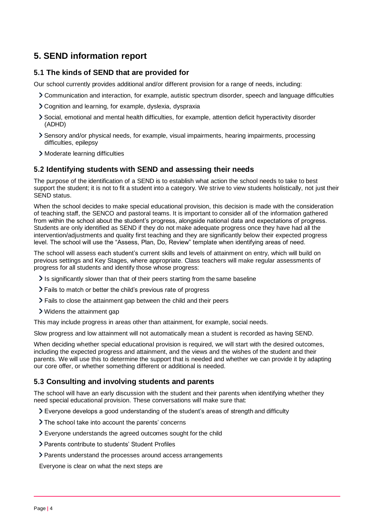# <span id="page-3-0"></span>**5. SEND information report**

## **5.1 The kinds of SEND that are provided for**

Our school currently provides additional and/or different provision for a range of needs, including:

- Communication and interaction, for example, autistic spectrum disorder, speech and language difficulties
- Cognition and learning, for example, dyslexia, dyspraxia
- Social, emotional and mental health difficulties, for example, attention deficit hyperactivity disorder (ADHD)
- Sensory and/or physical needs, for example, visual impairments, hearing impairments, processing difficulties, epilepsy
- > Moderate learning difficulties

### **5.2 Identifying students with SEND and assessing their needs**

The purpose of the identification of a SEND is to establish what action the school needs to take to best support the student; it is not to fit a student into a category. We strive to view students holistically, not just their SEND status.

When the school decides to make special educational provision, this decision is made with the consideration of teaching staff, the SENCO and pastoral teams. It is important to consider all of the information gathered from within the school about the student's progress, alongside national data and expectations of progress. Students are only identified as SEND if they do not make adequate progress once they have had all the intervention/adjustments and quality first teaching and they are significantly below their expected progress level. The school will use the "Assess, Plan, Do, Review" template when identifying areas of need.

The school will assess each student's current skills and levels of attainment on entry, which will build on previous settings and Key Stages, where appropriate. Class teachers will make regular assessments of progress for all students and identify those whose progress:

- It is significantly slower than that of their peers starting from the same baseline
- Fails to match or better the child's previous rate of progress
- Fails to close the attainment gap between the child and their peers
- Widens the attainment gap

This may include progress in areas other than attainment, for example, social needs.

Slow progress and low attainment will not automatically mean a student is recorded as having SEND.

When deciding whether special educational provision is required, we will start with the desired outcomes, including the expected progress and attainment, and the views and the wishes of the student and their parents. We will use this to determine the support that is needed and whether we can provide it by adapting our core offer, or whether something different or additional is needed.

## **5.3 Consulting and involving students and parents**

The school will have an early discussion with the student and their parents when identifying whether they need special educational provision. These conversations will make sure that:

- If Everyone develops a good understanding of the student's areas of strength and difficulty
- > The school take into account the parents' concerns
- Everyone understands the agreed outcomes sought for the child
- Parents contribute to students' Student Profiles
- Parents understand the processes around access arrangements

Everyone is clear on what the next steps are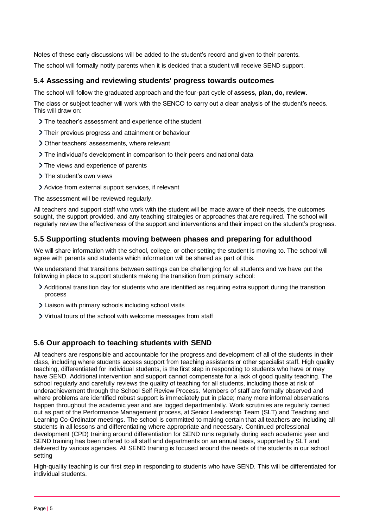Notes of these early discussions will be added to the student's record and given to their parents. The school will formally notify parents when it is decided that a student will receive SEND support.

## **5.4 Assessing and reviewing students' progress towards outcomes**

The school will follow the graduated approach and the four-part cycle of **assess, plan, do, review**.

The class or subject teacher will work with the SENCO to carry out a clear analysis of the student's needs. This will draw on:

- > The teacher's assessment and experience of the student
- Their previous progress and attainment or behaviour
- Other teachers' assessments, where relevant
- The individual's development in comparison to their peers andnational data
- > The views and experience of parents
- > The student's own views
- Advice from external support services, if relevant

The assessment will be reviewed regularly.

All teachers and support staff who work with the student will be made aware of their needs, the outcomes sought, the support provided, and any teaching strategies or approaches that are required. The school will regularly review the effectiveness of the support and interventions and their impact on the student's progress.

## **5.5 Supporting students moving between phases and preparing for adulthood**

We will share information with the school, college, or other setting the student is moving to. The school will agree with parents and students which information will be shared as part of this.

We understand that transitions between settings can be challenging for all students and we have put the following in place to support students making the transition from primary school:

- Additional transition day for students who are identified as requiring extra support during the transition process
- Liaison with primary schools including school visits
- Virtual tours of the school with welcome messages from staff

## **5.6 Our approach to teaching students with SEND**

All teachers are responsible and accountable for the progress and development of all of the students in their class, including where students access support from teaching assistants or other specialist staff. High quality teaching, differentiated for individual students, is the first step in responding to students who have or may have SEND. Additional intervention and support cannot compensate for a lack of good quality teaching. The school regularly and carefully reviews the quality of teaching for all students, including those at risk of underachievement through the School Self Review Process. Members of staff are formally observed and where problems are identified robust support is immediately put in place; many more informal observations happen throughout the academic year and are logged departmentally. Work scrutinies are regularly carried out as part of the Performance Management process, at Senior Leadership Team (SLT) and Teaching and Learning Co-Ordinator meetings. The school is committed to making certain that all teachers are including all students in all lessons and differentiating where appropriate and necessary. Continued professional development (CPD) training around differentiation for SEND runs regularly during each academic year and SEND training has been offered to all staff and departments on an annual basis, supported by SLT and delivered by various agencies. All SEND training is focused around the needs of the students in our school setting

High-quality teaching is our first step in responding to students who have SEND. This will be differentiated for individual students.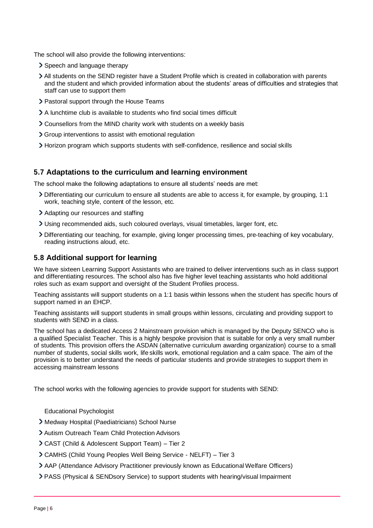The school will also provide the following interventions:

- > Speech and language therapy
- All students on the SEND register have a Student Profile which is created in collaboration with parents and the student and which provided information about the students' areas of difficulties and strategies that staff can use to support them
- Pastoral support through the House Teams
- A lunchtime club is available to students who find social times difficult
- Counsellors from the MIND charity work with students on a weekly basis
- Group interventions to assist with emotional regulation
- Horizon program which supports students with self-confidence, resilience and social skills

### **5.7 Adaptations to the curriculum and learning environment**

The school make the following adaptations to ensure all students' needs are met:

- Differentiating our curriculum to ensure all students are able to access it, for example, by grouping, 1:1 work, teaching style, content of the lesson, etc.
- Adapting our resources and staffing
- Using recommended aids, such coloured overlays, visual timetables, larger font, etc.
- Differentiating our teaching, for example, giving longer processing times, pre-teaching of key vocabulary, reading instructions aloud, etc.

### **5.8 Additional support for learning**

We have sixteen Learning Support Assistants who are trained to deliver interventions such as in class support and differentiating resources. The school also has five higher level teaching assistants who hold additional roles such as exam support and oversight of the Student Profiles process.

Teaching assistants will support students on a 1:1 basis within lessons when the student has specific hours of support named in an EHCP.

Teaching assistants will support students in small groups within lessons, circulating and providing support to students with SEND in a class.

The school has a dedicated Access 2 Mainstream provision which is managed by the Deputy SENCO who is a qualified Specialist Teacher. This is a highly bespoke provision that is suitable for only a very small number of students. This provision offers the ASDAN (alternative curriculum awarding organization) course to a small number of students, social skills work, lifeskills work, emotional regulation and a calm space. The aim of the provision is to better understand the needs of particular students and provide strategies to support them in accessing mainstream lessons

The school works with the following agencies to provide support for students with SEND:

- Educational Psychologist
- Medway Hospital (Paediatricians) School Nurse
- Autism Outreach Team Child Protection Advisors
- CAST (Child & Adolescent Support Team) Tier 2
- CAMHS (Child Young Peoples Well Being Service NELFT) Tier 3
- AAP (Attendance Advisory Practitioner previously known as Educational Welfare Officers)
- PASS (Physical & SENDsory Service) to support students with hearing/visual Impairment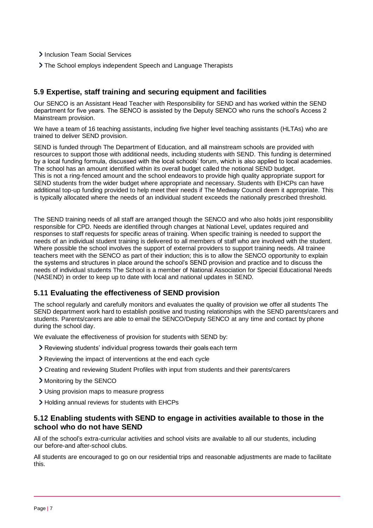- > Inclusion Team Social Services
- The School employs independent Speech and Language Therapists

## **5.9 Expertise, staff training and securing equipment and facilities**

Our SENCO is an Assistant Head Teacher with Responsibility for SEND and has worked within the SEND department for five years. The SENCO is assisted by the Deputy SENCO who runs the school's Access 2 Mainstream provision.

We have a team of 16 teaching assistants, including five higher level teaching assistants (HLTAs) who are trained to deliver SEND provision.

SEND is funded through The Department of Education, and all mainstream schools are provided with resources to support those with additional needs, including students with SEND. This funding is determined by a local funding formula, discussed with the local schools' forum, which is also applied to local academies. The school has an amount identified within its overall budget called the notional SEND budget. This is not a ring-fenced amount and the school endeavors to provide high quality appropriate support for SEND students from the wider budget where appropriate and necessary. Students with EHCPs can have additional top-up funding provided to help meet their needs if The Medway Council deem it appropriate. This is typically allocated where the needs of an individual student exceeds the nationally prescribed threshold.

The SEND training needs of all staff are arranged though the SENCO and who also holds joint responsibility responsible for CPD. Needs are identified through changes at National Level, updates required and responses to staff requests for specific areas of training. When specific training is needed to support the needs of an individual student training is delivered to all members of staff who are involved with the student. Where possible the school involves the support of external providers to support training needs. All trainee teachers meet with the SENCO as part of their induction; this is to allow the SENCO opportunity to explain the systems and structures in place around the school's SEND provision and practice and to discuss the needs of individual students The School is a member of National Association for Special Educational Needs (NASEND) in order to keep up to date with local and national updates in SEND.

## **5.11 Evaluating the effectiveness of SEND provision**

The school regularly and carefully monitors and evaluates the quality of provision we offer all students The SEND department work hard to establish positive and trusting relationships with the SEND parents/carers and students. Parents/carers are able to email the SENCO/Deputy SENCO at any time and contact by phone during the school day.

We evaluate the effectiveness of provision for students with SEND by:

- Reviewing students' individual progress towards their goalseach term
- Reviewing the impact of interventions at the end each cycle
- Creating and reviewing Student Profiles with input from students andtheir parents/carers
- Monitoring by the SENCO
- Using provision maps to measure progress
- Holding annual reviews for students with EHCPs

### **5.12 Enabling students with SEND to engage in activities available to those in the school who do not have SEND**

All of the school's extra-curricular activities and school visits are available to all our students, including our before-and after-school clubs.

All students are encouraged to go on our residential trips and reasonable adjustments are made to facilitate this.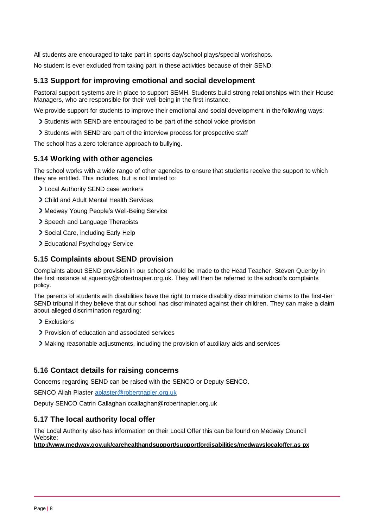All students are encouraged to take part in sports day/school plays/special workshops.

No student is ever excluded from taking part in these activities because of their SEND.

## **5.13 Support for improving emotional and social development**

Pastoral support systems are in place to support SEMH. Students build strong relationships with their House Managers, who are responsible for their well-being in the first instance.

We provide support for students to improve their emotional and social development in the following ways:

- Students with SEND are encouraged to be part of the school voice provision
- Students with SEND are part of the interview process for prospective staff

The school has a zero tolerance approach to bullying.

### **5.14 Working with other agencies**

The school works with a wide range of other agencies to ensure that students receive the support to which they are entitled. This includes, but is not limited to:

- Local Authority SEND case workers
- Child and Adult Mental Health Services
- Medway Young People's Well-Being Service
- > Speech and Language Therapists
- > Social Care, including Early Help
- Educational Psychology Service

### **5.15 Complaints about SEND provision**

Complaints about SEND provision in our school should be made to the Head Teacher, Steven Quenby in the first instance at squenby@robertnapier.org.uk. They will then be referred to the school's complaints policy.

The parents of students with disabilities have the right to make disability discrimination claims to the first-tier SEND tribunal if they believe that our school has discriminated against their children. They can make a claim about alleged discrimination regarding:

- > Exclusions
- Provision of education and associated services
- Making reasonable adjustments, including the provision of auxiliary aids and services

### **5.16 Contact details for raising concerns**

Concerns regarding SEND can be raised with the SENCO or Deputy SENCO.

SENCO Aliah Plaster [aplaster@robertnapier.org.uk](mailto:aplaster@robertnapier.org.uk)

Deputy SENCO Catrin Callaghan ccallaghan@robertnapier.org.uk

### **5.17 The local authority local offer**

The Local Authority also has information on their Local Offer this can be found on Medway Council Website:

### **[http://www.medway.gov.uk/carehealthandsupport/supportfordisabilities/medwayslocaloffer.as px](http://www.medway.gov.uk/carehealthandsupport/supportfordisabilities/medwayslocaloffer.aspx)**